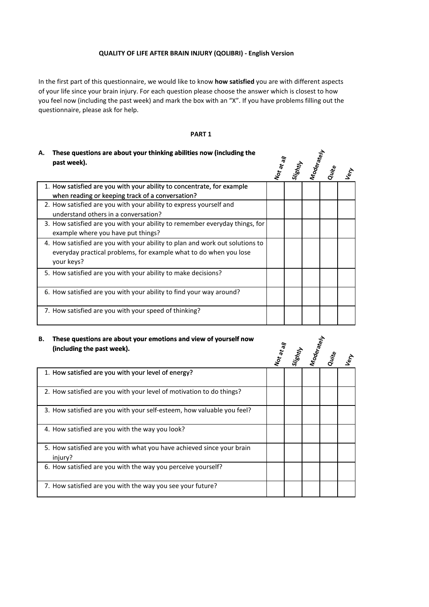## **QUALITY OF LIFE AFTER BRAIN INJURY (QOLIBRI) - English Version**

In the first part of this questionnaire, we would like to know **how satisfied** you are with different aspects of your life since your brain injury. For each question please choose the answer which is closest to how you feel now (including the past week) and mark the box with an "X". If you have problems filling out the questionnaire, please ask for help.

### **PART 1**

## **These questions are about your thinking abilities now (including the A. past week).**

| А. | These questions are about your thinking abilities now (including the         |  |                                                           |            |
|----|------------------------------------------------------------------------------|--|-----------------------------------------------------------|------------|
|    | past week).                                                                  |  | Not at a <sub>ll</sub><br>Slightly<br>Moderately<br>Quite | $\epsilon$ |
|    | 1. How satisfied are you with your ability to concentrate, for example       |  |                                                           |            |
|    | when reading or keeping track of a conversation?                             |  |                                                           |            |
|    | 2. How satisfied are you with your ability to express yourself and           |  |                                                           |            |
|    | understand others in a conversation?                                         |  |                                                           |            |
|    | 3. How satisfied are you with your ability to remember everyday things, for  |  |                                                           |            |
|    | example where you have put things?                                           |  |                                                           |            |
|    | 4. How satisfied are you with your ability to plan and work out solutions to |  |                                                           |            |
|    | everyday practical problems, for example what to do when you lose            |  |                                                           |            |
|    | your keys?                                                                   |  |                                                           |            |
|    | 5. How satisfied are you with your ability to make decisions?                |  |                                                           |            |
|    |                                                                              |  |                                                           |            |
|    | 6. How satisfied are you with your ability to find your way around?          |  |                                                           |            |
|    |                                                                              |  |                                                           |            |
|    | 7. How satisfied are you with your speed of thinking?                        |  |                                                           |            |
|    |                                                                              |  |                                                           |            |

#### **These questions are about your emotions and view of yourself now (including the past week). B.**

| В. | These questions are about your emotions and view of yourself now                 |  | Not at all<br>Sightly<br>Moderately<br>Quite<br>Very |  |  |  |  |  |  |
|----|----------------------------------------------------------------------------------|--|------------------------------------------------------|--|--|--|--|--|--|
|    | (including the past week).                                                       |  |                                                      |  |  |  |  |  |  |
|    | 1. How satisfied are you with your level of energy?                              |  |                                                      |  |  |  |  |  |  |
|    | 2. How satisfied are you with your level of motivation to do things?             |  |                                                      |  |  |  |  |  |  |
|    | 3. How satisfied are you with your self-esteem, how valuable you feel?           |  |                                                      |  |  |  |  |  |  |
|    | 4. How satisfied are you with the way you look?                                  |  |                                                      |  |  |  |  |  |  |
|    | 5. How satisfied are you with what you have achieved since your brain<br>injury? |  |                                                      |  |  |  |  |  |  |
|    | 6. How satisfied are you with the way you perceive yourself?                     |  |                                                      |  |  |  |  |  |  |
|    | 7. How satisfied are you with the way you see your future?                       |  |                                                      |  |  |  |  |  |  |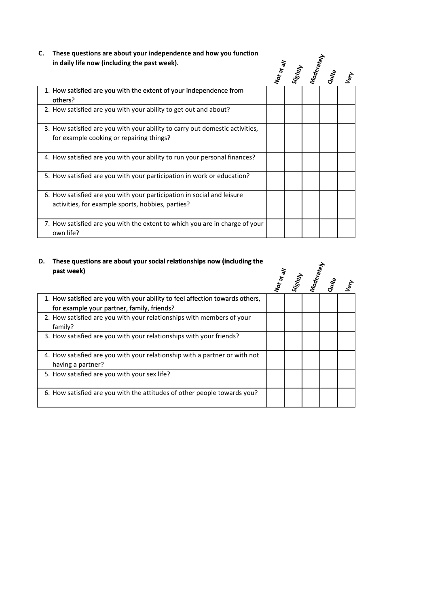**C. These questions are about your independence and how you function in daily life now (including the past week).**

| These questions are about your independence and now you runction<br>in daily life now (including the past week).            |            |                 |  |                     |      |  |
|-----------------------------------------------------------------------------------------------------------------------------|------------|-----------------|--|---------------------|------|--|
|                                                                                                                             | Not at all | <b>Slightly</b> |  | Moderately<br>Quite | Lery |  |
| 1. How satisfied are you with the extent of your independence from<br>others?                                               |            |                 |  |                     |      |  |
| 2. How satisfied are you with your ability to get out and about?                                                            |            |                 |  |                     |      |  |
| 3. How satisfied are you with your ability to carry out domestic activities,<br>for example cooking or repairing things?    |            |                 |  |                     |      |  |
| 4. How satisfied are you with your ability to run your personal finances?                                                   |            |                 |  |                     |      |  |
| 5. How satisfied are you with your participation in work or education?                                                      |            |                 |  |                     |      |  |
| 6. How satisfied are you with your participation in social and leisure<br>activities, for example sports, hobbies, parties? |            |                 |  |                     |      |  |
| 7. How satisfied are you with the extent to which you are in charge of your<br>own life?                                    |            |                 |  |                     |      |  |

## **These questions are about your social relationships now (including the D. past week)**

| rnese gaestions are about your social relationships now (including the<br>past week)                                       | Si <sub>lshtly</sub><br>Moderately<br>Quite |  |  |  |            |  |
|----------------------------------------------------------------------------------------------------------------------------|---------------------------------------------|--|--|--|------------|--|
|                                                                                                                            | Not at all                                  |  |  |  | <b>Let</b> |  |
| 1. How satisfied are you with your ability to feel affection towards others,<br>for example your partner, family, friends? |                                             |  |  |  |            |  |
| 2. How satisfied are you with your relationships with members of your<br>family?                                           |                                             |  |  |  |            |  |
| 3. How satisfied are you with your relationships with your friends?                                                        |                                             |  |  |  |            |  |
| 4. How satisfied are you with your relationship with a partner or with not<br>having a partner?                            |                                             |  |  |  |            |  |
| 5. How satisfied are you with your sex life?                                                                               |                                             |  |  |  |            |  |
| 6. How satisfied are you with the attitudes of other people towards you?                                                   |                                             |  |  |  |            |  |